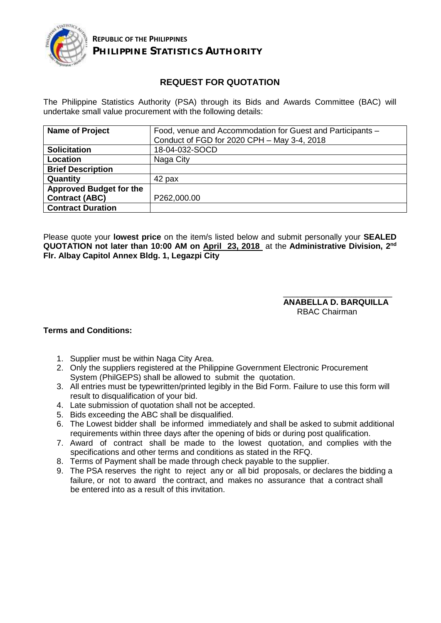

## **REQUEST FOR QUOTATION**

The Philippine Statistics Authority (PSA) through its Bids and Awards Committee (BAC) will undertake small value procurement with the following details:

| <b>Name of Project</b>         | Food, venue and Accommodation for Guest and Participants -<br>Conduct of FGD for 2020 CPH - May 3-4, 2018 |
|--------------------------------|-----------------------------------------------------------------------------------------------------------|
| <b>Solicitation</b>            | 18-04-032-SOCD                                                                                            |
| Location                       | Naga City                                                                                                 |
| <b>Brief Description</b>       |                                                                                                           |
| Quantity                       | 42 pax                                                                                                    |
| <b>Approved Budget for the</b> |                                                                                                           |
| <b>Contract (ABC)</b>          | P262,000.00                                                                                               |
| <b>Contract Duration</b>       |                                                                                                           |

Please quote your **lowest price** on the item/s listed below and submit personally your **SEALED QUOTATION not later than 10:00 AM on April 23, 2018** at the **Administrative Division, 2 nd Flr. Albay Capitol Annex Bldg. 1, Legazpi City**

> \_\_\_\_\_\_\_\_\_\_\_\_\_\_\_\_\_\_\_\_\_\_\_\_ **ANABELLA D. BARQUILLA** RBAC Chairman

## **Terms and Conditions:**

- 1. Supplier must be within Naga City Area.
- 2. Only the suppliers registered at the Philippine Government Electronic Procurement System (PhilGEPS) shall be allowed to submit the quotation.
- 3. All entries must be typewritten/printed legibly in the Bid Form. Failure to use this form will result to disqualification of your bid.
- 4. Late submission of quotation shall not be accepted.
- 5. Bids exceeding the ABC shall be disqualified.
- 6. The Lowest bidder shall be informed immediately and shall be asked to submit additional requirements within three days after the opening of bids or during post qualification.
- 7. Award of contract shall be made to the lowest quotation, and complies with the specifications and other terms and conditions as stated in the RFQ.
- 8. Terms of Payment shall be made through check payable to the supplier.
- 9. The PSA reserves the right to reject any or all bid proposals, or declares the bidding a failure, or not to award the contract, and makes no assurance that a contract shall be entered into as a result of this invitation.